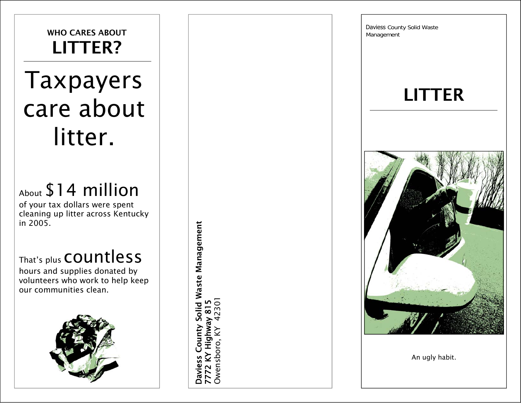### WHO CARES ABOUTLITTER?

## Taxpayers care about litter.

About \$14 million of your tax dollars were spent cleaning up litter across Kentucky in 2005.

### That's plus countless

hours and supplies donated by volunteers who work to help keep our communities clean.



Daviess County Solid Waste Management County Solid Waste Management KY Highway 815<br>sboro, KY 42301 Owensboro, KY 423017772 KY Highway 815 Owensboro, KY Daviess

Daviess County Solid Waste Management

## LITTER



An ugly habit.